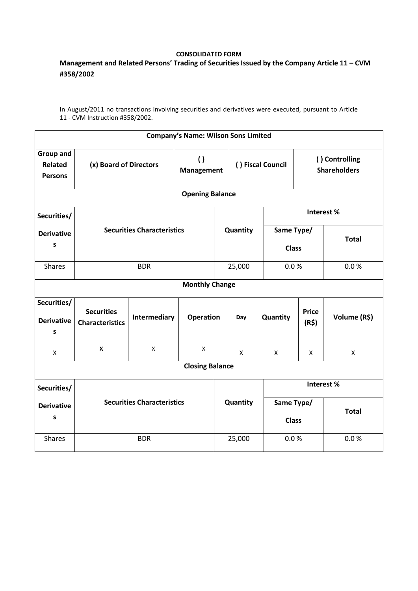## **CONSOLIDATED FORM**

## **Management and Related Persons' Trading of Securities Issued by the Company Article 11 – CVM #358/2002**

In August/2011 no transactions involving securities and derivatives were executed, pursuant to Article 11 - CVM Instruction #358/2002.

| <b>Company's Name: Wilson Sons Limited</b>           |                                             |                                       |                  |                   |          |                                       |                       |              |  |  |  |
|------------------------------------------------------|---------------------------------------------|---------------------------------------|------------------|-------------------|----------|---------------------------------------|-----------------------|--------------|--|--|--|
| <b>Group and</b><br><b>Related</b><br><b>Persons</b> | (x) Board of Directors                      | $\left( \right)$<br><b>Management</b> |                  | () Fiscal Council |          | () Controlling<br><b>Shareholders</b> |                       |              |  |  |  |
| <b>Opening Balance</b>                               |                                             |                                       |                  |                   |          |                                       |                       |              |  |  |  |
| Securities/                                          | <b>Securities Characteristics</b>           |                                       |                  |                   |          |                                       | Interest%             |              |  |  |  |
| <b>Derivative</b><br>$\sf s$                         |                                             |                                       |                  |                   | Quantity | Same Type/<br><b>Class</b>            |                       | <b>Total</b> |  |  |  |
| <b>Shares</b>                                        |                                             | <b>BDR</b>                            |                  |                   | 25,000   | 0.0 %                                 |                       | 0.0 %        |  |  |  |
| <b>Monthly Change</b>                                |                                             |                                       |                  |                   |          |                                       |                       |              |  |  |  |
| Securities/<br><b>Derivative</b><br>S                | <b>Securities</b><br><b>Characteristics</b> | Intermediary                          | <b>Operation</b> |                   | Day      | Quantity                              | <b>Price</b><br>(R\$) | Volume (R\$) |  |  |  |
| X                                                    | $\mathbf x$                                 | X                                     | X                |                   | X        | X                                     | X                     | X            |  |  |  |
| <b>Closing Balance</b>                               |                                             |                                       |                  |                   |          |                                       |                       |              |  |  |  |
| Securities/                                          |                                             |                                       |                  |                   |          | Interest%                             |                       |              |  |  |  |
| <b>Derivative</b><br>$\sf s$                         | <b>Securities Characteristics</b>           |                                       |                  | Quantity          |          | Same Type/<br><b>Class</b>            |                       | <b>Total</b> |  |  |  |
| <b>Shares</b>                                        | <b>BDR</b>                                  |                                       |                  | 25,000            |          | 0.0 %                                 |                       | 0.0 %        |  |  |  |